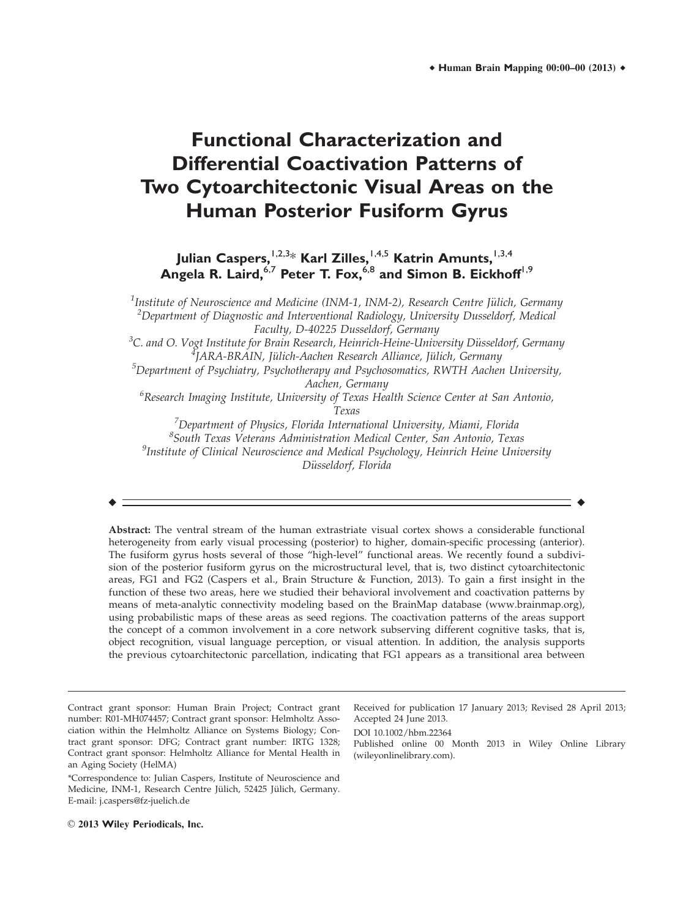# **Functional Characterization and Differential Coactivation Patterns of Two Cytoarchitectonic Visual Areas on the Human Posterior Fusiform Gyrus**

**Julian Caspers,**1,2,3\* **Karl Zilles,**1,4,5 **Katrin Amunts,**1,3,4 Angela R. Laird,<sup>6,7</sup> Peter T. Fox,<sup>6,8</sup> and Simon B. Eickhoff<sup>1,9</sup>

<sup>1</sup>Institute of Neuroscience and Medicine (INM-1, INM-2), Research Centre Jülich, Germany<br><sup>2</sup>Department of Digonostic and Interventional Radiology Huiversity Dusseldorf, Medical  $2$ Department of Diagnostic and Interventional Radiology, University Dusseldorf, Medical Faculty, D-40225 Dusseldorf, Germany <sup>3</sup>C. and O. Vogt Institute for Brain Research, Heinrich-Heine-University Düsseldorf, Germany<br><sup>4</sup>LAR A-RR AIN - Filich-Aachen Research Alliance, Filich-Cermany  $\mathbb{P}$ JARA-BRAIN, Jülich-Aachen Research Alliance, Jülich, Germany  ${}^{5}$ Department of Psychiatry, Psychotherapy and Psychosomatics, RWTH Aachen University, Aachen, Germany  $^6$ Research Imaging Institute, University of Texas Health Science Center at San Antonio, Texas  $^7$ Department of Physics, Florida International University, Miami, Florida 8 South Texas Veterans Administration Medical Center, San Antonio, Texas  $^9$ Institute of Clinical Neuroscience and Medical Psychology, Heinrich Heine University Düsseldorf, Florida

Abstract: The ventral stream of the human extrastriate visual cortex shows a considerable functional heterogeneity from early visual processing (posterior) to higher, domain-specific processing (anterior). The fusiform gyrus hosts several of those "high-level" functional areas. We recently found a subdivision of the posterior fusiform gyrus on the microstructural level, that is, two distinct cytoarchitectonic areas, FG1 and FG2 (Caspers et al., Brain Structure & Function, 2013). To gain a first insight in the function of these two areas, here we studied their behavioral involvement and coactivation patterns by means of meta-analytic connectivity modeling based on the BrainMap database (www.brainmap.org), using probabilistic maps of these areas as seed regions. The coactivation patterns of the areas support the concept of a common involvement in a core network subserving different cognitive tasks, that is, object recognition, visual language perception, or visual attention. In addition, the analysis supports the previous cytoarchitectonic parcellation, indicating that FG1 appears as a transitional area between

r r

 $\odot$  2013 Wiley Periodicals, Inc.

Received for publication 17 January 2013; Revised 28 April 2013; Accepted 24 June 2013.

DOI 10.1002/hbm.22364

Published online 00 Month 2013 in Wiley Online Library (wileyonlinelibrary.com).

Contract grant sponsor: Human Brain Project; Contract grant number: R01-MH074457; Contract grant sponsor: Helmholtz Association within the Helmholtz Alliance on Systems Biology; Contract grant sponsor: DFG; Contract grant number: IRTG 1328; Contract grant sponsor: Helmholtz Alliance for Mental Health in an Aging Society (HelMA)

<sup>\*</sup>Correspondence to: Julian Caspers, Institute of Neuroscience and Medicine, INM-1, Research Centre Jülich, 52425 Jülich, Germany. E-mail: j.caspers@fz-juelich.de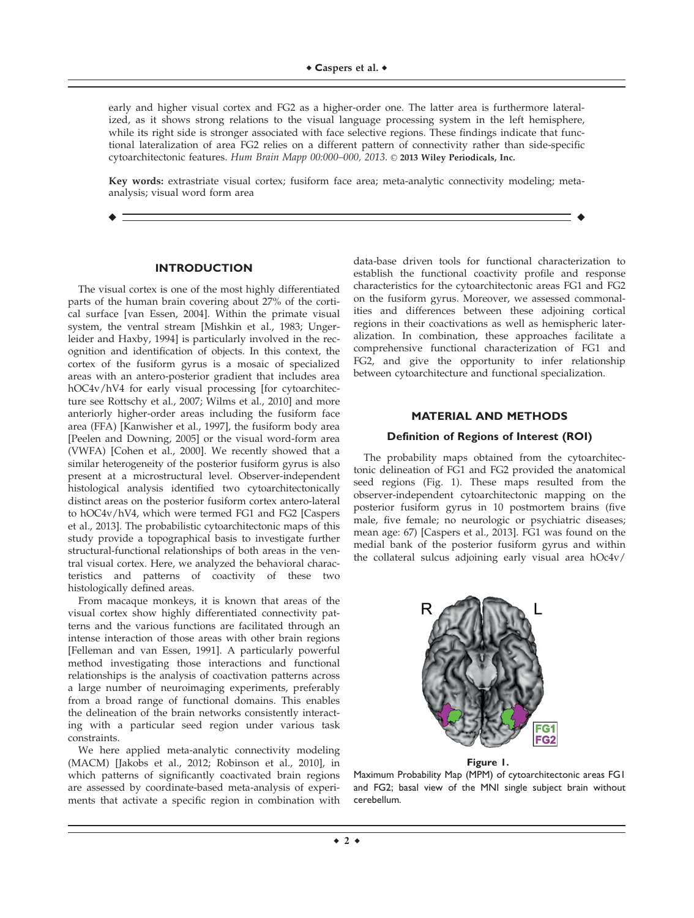early and higher visual cortex and FG2 as a higher-order one. The latter area is furthermore lateralized, as it shows strong relations to the visual language processing system in the left hemisphere, while its right side is stronger associated with face selective regions. These findings indicate that functional lateralization of area FG2 relies on a different pattern of connectivity rather than side-specific cytoarchitectonic features. Hum Brain Mapp 00:000-000, 2013. @ 2013 Wiley Periodicals, Inc.

Key words: extrastriate visual cortex; fusiform face area; meta-analytic connectivity modeling; metaanalysis; visual word form area

r r

# **INTRODUCTION**

The visual cortex is one of the most highly differentiated parts of the human brain covering about 27% of the cortical surface [van Essen, 2004]. Within the primate visual system, the ventral stream [Mishkin et al., 1983; Ungerleider and Haxby, 1994] is particularly involved in the recognition and identification of objects. In this context, the cortex of the fusiform gyrus is a mosaic of specialized areas with an antero-posterior gradient that includes area hOC4v/hV4 for early visual processing [for cytoarchitecture see Rottschy et al., 2007; Wilms et al., 2010] and more anteriorly higher-order areas including the fusiform face area (FFA) [Kanwisher et al., 1997], the fusiform body area [Peelen and Downing, 2005] or the visual word-form area (VWFA) [Cohen et al., 2000]. We recently showed that a similar heterogeneity of the posterior fusiform gyrus is also present at a microstructural level. Observer-independent histological analysis identified two cytoarchitectonically distinct areas on the posterior fusiform cortex antero-lateral to hOC4v/hV4, which were termed FG1 and FG2 [Caspers et al., 2013]. The probabilistic cytoarchitectonic maps of this study provide a topographical basis to investigate further structural-functional relationships of both areas in the ventral visual cortex. Here, we analyzed the behavioral characteristics and patterns of coactivity of these two histologically defined areas.

From macaque monkeys, it is known that areas of the visual cortex show highly differentiated connectivity patterns and the various functions are facilitated through an intense interaction of those areas with other brain regions [Felleman and van Essen, 1991]. A particularly powerful method investigating those interactions and functional relationships is the analysis of coactivation patterns across a large number of neuroimaging experiments, preferably from a broad range of functional domains. This enables the delineation of the brain networks consistently interacting with a particular seed region under various task constraints.

We here applied meta-analytic connectivity modeling (MACM) [Jakobs et al., 2012; Robinson et al., 2010], in which patterns of significantly coactivated brain regions are assessed by coordinate-based meta-analysis of experiments that activate a specific region in combination with

data-base driven tools for functional characterization to establish the functional coactivity profile and response characteristics for the cytoarchitectonic areas FG1 and FG2 on the fusiform gyrus. Moreover, we assessed commonalities and differences between these adjoining cortical regions in their coactivations as well as hemispheric lateralization. In combination, these approaches facilitate a comprehensive functional characterization of FG1 and FG2, and give the opportunity to infer relationship between cytoarchitecture and functional specialization.

### **MATERIAL AND METHODS**

### **Definition of Regions of Interest (ROI)**

The probability maps obtained from the cytoarchitectonic delineation of FG1 and FG2 provided the anatomical seed regions (Fig. 1). These maps resulted from the observer-independent cytoarchitectonic mapping on the posterior fusiform gyrus in 10 postmortem brains (five male, five female; no neurologic or psychiatric diseases; mean age: 67) [Caspers et al., 2013]. FG1 was found on the medial bank of the posterior fusiform gyrus and within the collateral sulcus adjoining early visual area hOc4v/



**Figure 1.**

Maximum Probability Map (MPM) of cytoarchitectonic areas FG1 and FG2; basal view of the MNI single subject brain without cerebellum.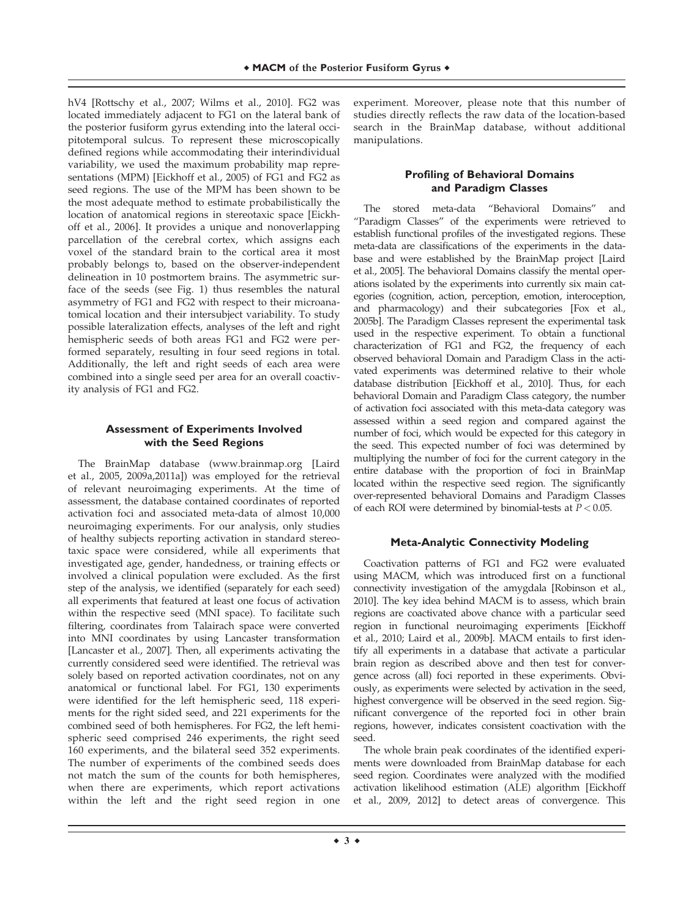hV4 [Rottschy et al., 2007; Wilms et al., 2010]. FG2 was located immediately adjacent to FG1 on the lateral bank of the posterior fusiform gyrus extending into the lateral occipitotemporal sulcus. To represent these microscopically defined regions while accommodating their interindividual variability, we used the maximum probability map representations (MPM) [Eickhoff et al., 2005) of FG1 and FG2 as seed regions. The use of the MPM has been shown to be the most adequate method to estimate probabilistically the location of anatomical regions in stereotaxic space [Eickhoff et al., 2006]. It provides a unique and nonoverlapping parcellation of the cerebral cortex, which assigns each voxel of the standard brain to the cortical area it most probably belongs to, based on the observer-independent delineation in 10 postmortem brains. The asymmetric surface of the seeds (see Fig. 1) thus resembles the natural asymmetry of FG1 and FG2 with respect to their microanatomical location and their intersubject variability. To study possible lateralization effects, analyses of the left and right hemispheric seeds of both areas FG1 and FG2 were performed separately, resulting in four seed regions in total. Additionally, the left and right seeds of each area were combined into a single seed per area for an overall coactivity analysis of FG1 and FG2.

# **Assessment of Experiments Involved with the Seed Regions**

The BrainMap database (<www.brainmap.org> [Laird et al., 2005, 2009a,2011a]) was employed for the retrieval of relevant neuroimaging experiments. At the time of assessment, the database contained coordinates of reported activation foci and associated meta-data of almost 10,000 neuroimaging experiments. For our analysis, only studies of healthy subjects reporting activation in standard stereotaxic space were considered, while all experiments that investigated age, gender, handedness, or training effects or involved a clinical population were excluded. As the first step of the analysis, we identified (separately for each seed) all experiments that featured at least one focus of activation within the respective seed (MNI space). To facilitate such filtering, coordinates from Talairach space were converted into MNI coordinates by using Lancaster transformation [Lancaster et al., 2007]. Then, all experiments activating the currently considered seed were identified. The retrieval was solely based on reported activation coordinates, not on any anatomical or functional label. For FG1, 130 experiments were identified for the left hemispheric seed, 118 experiments for the right sided seed, and 221 experiments for the combined seed of both hemispheres. For FG2, the left hemispheric seed comprised 246 experiments, the right seed 160 experiments, and the bilateral seed 352 experiments. The number of experiments of the combined seeds does not match the sum of the counts for both hemispheres, when there are experiments, which report activations within the left and the right seed region in one experiment. Moreover, please note that this number of studies directly reflects the raw data of the location-based search in the BrainMap database, without additional manipulations.

# **Profiling of Behavioral Domains and Paradigm Classes**

The stored meta-data "Behavioral Domains" and "Paradigm Classes" of the experiments were retrieved to establish functional profiles of the investigated regions. These meta-data are classifications of the experiments in the database and were established by the BrainMap project [Laird et al., 2005]. The behavioral Domains classify the mental operations isolated by the experiments into currently six main categories (cognition, action, perception, emotion, interoception, and pharmacology) and their subcategories [Fox et al., 2005b]. The Paradigm Classes represent the experimental task used in the respective experiment. To obtain a functional characterization of FG1 and FG2, the frequency of each observed behavioral Domain and Paradigm Class in the activated experiments was determined relative to their whole database distribution [Eickhoff et al., 2010]. Thus, for each behavioral Domain and Paradigm Class category, the number of activation foci associated with this meta-data category was assessed within a seed region and compared against the number of foci, which would be expected for this category in the seed. This expected number of foci was determined by multiplying the number of foci for the current category in the entire database with the proportion of foci in BrainMap located within the respective seed region. The significantly over-represented behavioral Domains and Paradigm Classes of each ROI were determined by binomial-tests at  $P < 0.05$ .

# **Meta-Analytic Connectivity Modeling**

Coactivation patterns of FG1 and FG2 were evaluated using MACM, which was introduced first on a functional connectivity investigation of the amygdala [Robinson et al., 2010]. The key idea behind MACM is to assess, which brain regions are coactivated above chance with a particular seed region in functional neuroimaging experiments [Eickhoff et al., 2010; Laird et al., 2009b]. MACM entails to first identify all experiments in a database that activate a particular brain region as described above and then test for convergence across (all) foci reported in these experiments. Obviously, as experiments were selected by activation in the seed, highest convergence will be observed in the seed region. Significant convergence of the reported foci in other brain regions, however, indicates consistent coactivation with the seed.

The whole brain peak coordinates of the identified experiments were downloaded from BrainMap database for each seed region. Coordinates were analyzed with the modified activation likelihood estimation (ALE) algorithm [Eickhoff et al., 2009, 2012] to detect areas of convergence. This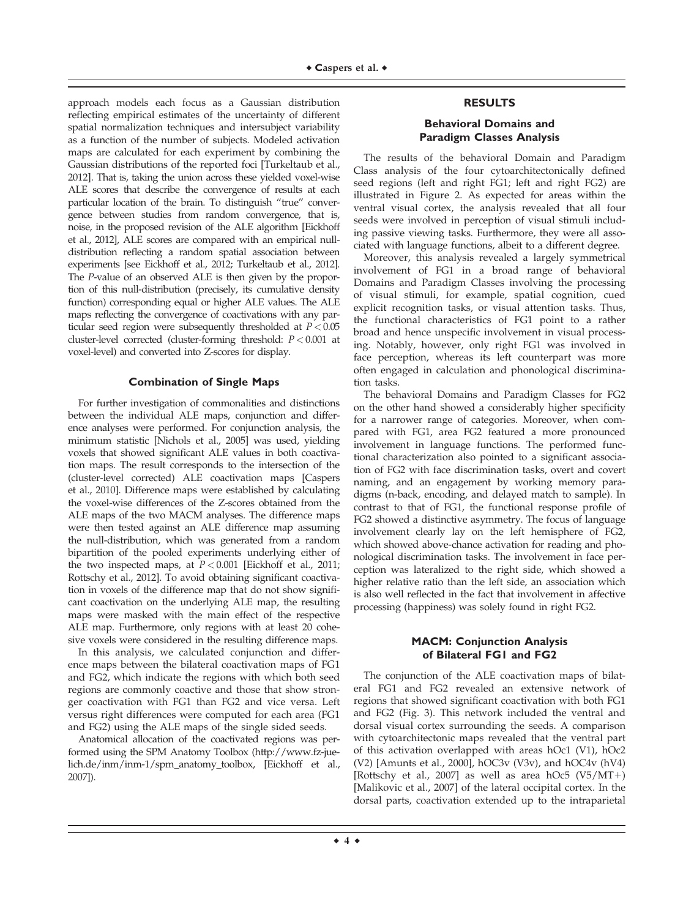approach models each focus as a Gaussian distribution reflecting empirical estimates of the uncertainty of different spatial normalization techniques and intersubject variability as a function of the number of subjects. Modeled activation maps are calculated for each experiment by combining the Gaussian distributions of the reported foci [Turkeltaub et al., 2012]. That is, taking the union across these yielded voxel-wise ALE scores that describe the convergence of results at each particular location of the brain. To distinguish "true" convergence between studies from random convergence, that is, noise, in the proposed revision of the ALE algorithm [Eickhoff et al., 2012], ALE scores are compared with an empirical nulldistribution reflecting a random spatial association between experiments [see Eickhoff et al., 2012; Turkeltaub et al., 2012]. The P-value of an observed ALE is then given by the proportion of this null-distribution (precisely, its cumulative density function) corresponding equal or higher ALE values. The ALE maps reflecting the convergence of coactivations with any particular seed region were subsequently thresholded at  $P < 0.05$ cluster-level corrected (cluster-forming threshold: P< 0.001 at voxel-level) and converted into Z-scores for display.

### **Combination of Single Maps**

For further investigation of commonalities and distinctions between the individual ALE maps, conjunction and difference analyses were performed. For conjunction analysis, the minimum statistic [Nichols et al., 2005] was used, yielding voxels that showed significant ALE values in both coactivation maps. The result corresponds to the intersection of the (cluster-level corrected) ALE coactivation maps [Caspers et al., 2010]. Difference maps were established by calculating the voxel-wise differences of the Z-scores obtained from the ALE maps of the two MACM analyses. The difference maps were then tested against an ALE difference map assuming the null-distribution, which was generated from a random bipartition of the pooled experiments underlying either of the two inspected maps, at  $P < 0.001$  [Eickhoff et al., 2011; Rottschy et al., 2012]. To avoid obtaining significant coactivation in voxels of the difference map that do not show significant coactivation on the underlying ALE map, the resulting maps were masked with the main effect of the respective ALE map. Furthermore, only regions with at least 20 cohesive voxels were considered in the resulting difference maps.

In this analysis, we calculated conjunction and difference maps between the bilateral coactivation maps of FG1 and FG2, which indicate the regions with which both seed regions are commonly coactive and those that show stronger coactivation with FG1 than FG2 and vice versa. Left versus right differences were computed for each area (FG1 and FG2) using the ALE maps of the single sided seeds.

Anatomical allocation of the coactivated regions was performed using the SPM Anatomy Toolbox [\(http://www.fz-jue](http://www.fz-juelich.de/inm/inm-1/spm_anatomy_toolbox)[lich.de/inm/inm-1/spm\\_anatomy\\_toolbox](http://www.fz-juelich.de/inm/inm-1/spm_anatomy_toolbox), [Eickhoff et al., 2007]).

#### **RESULTS**

# **Behavioral Domains and Paradigm Classes Analysis**

The results of the behavioral Domain and Paradigm Class analysis of the four cytoarchitectonically defined seed regions (left and right FG1; left and right FG2) are illustrated in Figure 2. As expected for areas within the ventral visual cortex, the analysis revealed that all four seeds were involved in perception of visual stimuli including passive viewing tasks. Furthermore, they were all associated with language functions, albeit to a different degree.

Moreover, this analysis revealed a largely symmetrical involvement of FG1 in a broad range of behavioral Domains and Paradigm Classes involving the processing of visual stimuli, for example, spatial cognition, cued explicit recognition tasks, or visual attention tasks. Thus, the functional characteristics of FG1 point to a rather broad and hence unspecific involvement in visual processing. Notably, however, only right FG1 was involved in face perception, whereas its left counterpart was more often engaged in calculation and phonological discrimination tasks.

The behavioral Domains and Paradigm Classes for FG2 on the other hand showed a considerably higher specificity for a narrower range of categories. Moreover, when compared with FG1, area FG2 featured a more pronounced involvement in language functions. The performed functional characterization also pointed to a significant association of FG2 with face discrimination tasks, overt and covert naming, and an engagement by working memory paradigms (n-back, encoding, and delayed match to sample). In contrast to that of FG1, the functional response profile of FG2 showed a distinctive asymmetry. The focus of language involvement clearly lay on the left hemisphere of FG2, which showed above-chance activation for reading and phonological discrimination tasks. The involvement in face perception was lateralized to the right side, which showed a higher relative ratio than the left side, an association which is also well reflected in the fact that involvement in affective processing (happiness) was solely found in right FG2.

# **MACM: Conjunction Analysis of Bilateral FG1 and FG2**

The conjunction of the ALE coactivation maps of bilateral FG1 and FG2 revealed an extensive network of regions that showed significant coactivation with both FG1 and FG2 (Fig. 3). This network included the ventral and dorsal visual cortex surrounding the seeds. A comparison with cytoarchitectonic maps revealed that the ventral part of this activation overlapped with areas hOc1 (V1), hOc2 (V2) [Amunts et al., 2000], hOC3v (V3v), and hOC4v (hV4) [Rottschy et al., 2007] as well as area hOc5  $(V5/MT+)$ [Malikovic et al., 2007] of the lateral occipital cortex. In the dorsal parts, coactivation extended up to the intraparietal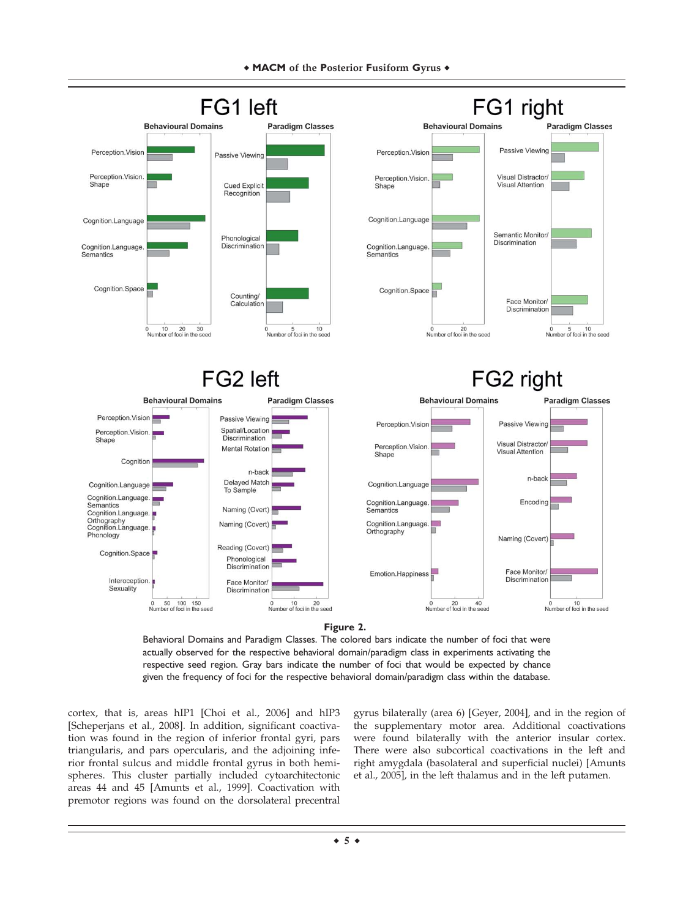



Behavioral Domains and Paradigm Classes. The colored bars indicate the number of foci that were actually observed for the respective behavioral domain/paradigm class in experiments activating the respective seed region. Gray bars indicate the number of foci that would be expected by chance given the frequency of foci for the respective behavioral domain/paradigm class within the database.

cortex, that is, areas hIP1 [Choi et al., 2006] and hIP3 [Scheperjans et al., 2008]. In addition, significant coactivation was found in the region of inferior frontal gyri, pars triangularis, and pars opercularis, and the adjoining inferior frontal sulcus and middle frontal gyrus in both hemispheres. This cluster partially included cytoarchitectonic areas 44 and 45 [Amunts et al., 1999]. Coactivation with premotor regions was found on the dorsolateral precentral gyrus bilaterally (area 6) [Geyer, 2004], and in the region of the supplementary motor area. Additional coactivations were found bilaterally with the anterior insular cortex. There were also subcortical coactivations in the left and right amygdala (basolateral and superficial nuclei) [Amunts et al., 2005], in the left thalamus and in the left putamen.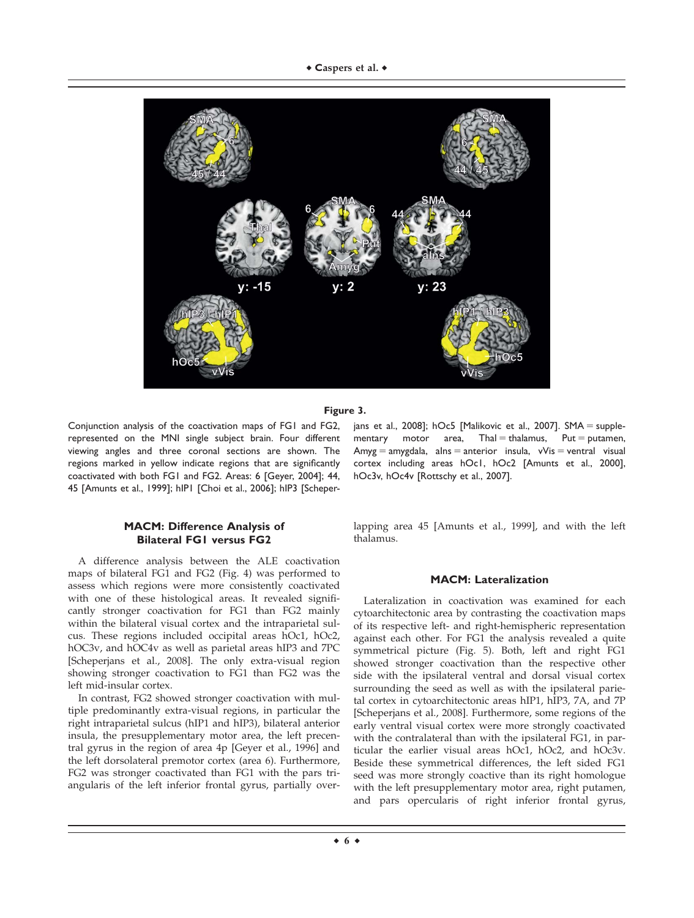

# **Figure 3.**

Conjunction analysis of the coactivation maps of FG1 and FG2, represented on the MNI single subject brain. Four different viewing angles and three coronal sections are shown. The regions marked in yellow indicate regions that are significantly coactivated with both FG1 and FG2. Areas: 6 [Geyer, 2004]; 44, 45 [Amunts et al., 1999]; hIP1 [Choi et al., 2006]; hIP3 [Scheper-

# **MACM: Difference Analysis of Bilateral FG1 versus FG2**

A difference analysis between the ALE coactivation maps of bilateral FG1 and FG2 (Fig. 4) was performed to assess which regions were more consistently coactivated with one of these histological areas. It revealed significantly stronger coactivation for FG1 than FG2 mainly within the bilateral visual cortex and the intraparietal sulcus. These regions included occipital areas hOc1, hOc2, hOC3v, and hOC4v as well as parietal areas hIP3 and 7PC [Scheperjans et al., 2008]. The only extra-visual region showing stronger coactivation to FG1 than FG2 was the left mid-insular cortex.

In contrast, FG2 showed stronger coactivation with multiple predominantly extra-visual regions, in particular the right intraparietal sulcus (hIP1 and hIP3), bilateral anterior insula, the presupplementary motor area, the left precentral gyrus in the region of area 4p [Geyer et al., 1996] and the left dorsolateral premotor cortex (area 6). Furthermore, FG2 was stronger coactivated than FG1 with the pars triangularis of the left inferior frontal gyrus, partially over-

jans et al., 2008];  $hOc5$  [Malikovic et al., 2007]. SMA = supplementary motor area,  $\text{Thal} = \text{thalamus}$ ,  $\text{Put} = \text{putamen}$ ,  $Amyg = anygdala, alns = anterior insula, vVis = ventral visual$ cortex including areas hOc1, hOc2 [Amunts et al., 2000], hOc3v, hOc4v [Rottschy et al., 2007].

lapping area 45 [Amunts et al., 1999], and with the left thalamus.

# **MACM: Lateralization**

Lateralization in coactivation was examined for each cytoarchitectonic area by contrasting the coactivation maps of its respective left- and right-hemispheric representation against each other. For FG1 the analysis revealed a quite symmetrical picture (Fig. 5). Both, left and right FG1 showed stronger coactivation than the respective other side with the ipsilateral ventral and dorsal visual cortex surrounding the seed as well as with the ipsilateral parietal cortex in cytoarchitectonic areas hIP1, hIP3, 7A, and 7P [Scheperjans et al., 2008]. Furthermore, some regions of the early ventral visual cortex were more strongly coactivated with the contralateral than with the ipsilateral FG1, in particular the earlier visual areas hOc1, hOc2, and hOc3v. Beside these symmetrical differences, the left sided FG1 seed was more strongly coactive than its right homologue with the left presupplementary motor area, right putamen, and pars opercularis of right inferior frontal gyrus,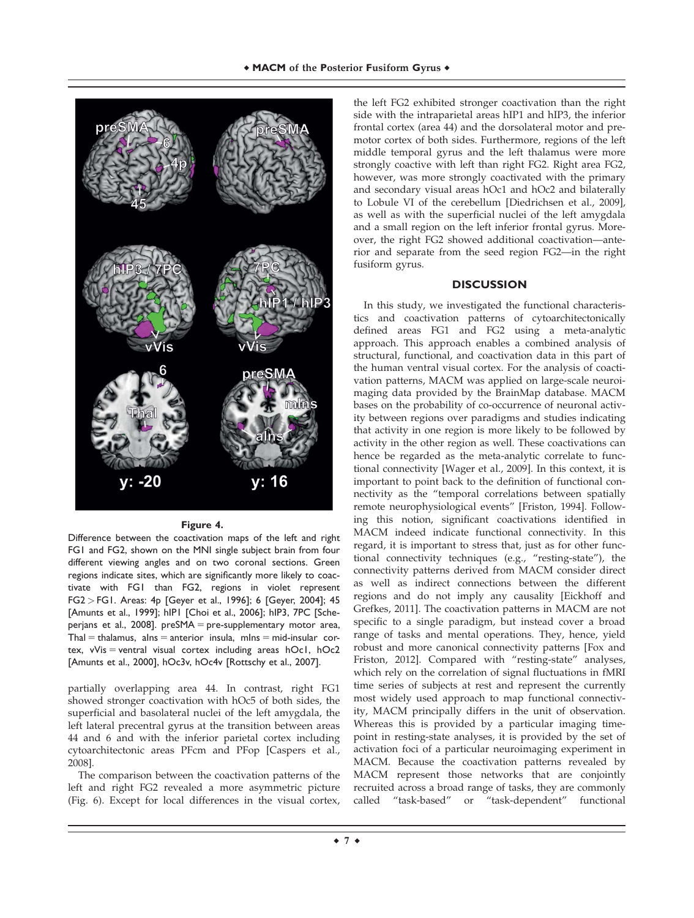

### **Figure 4.**

Difference between the coactivation maps of the left and right FG1 and FG2, shown on the MNI single subject brain from four different viewing angles and on two coronal sections. Green regions indicate sites, which are significantly more likely to coactivate with FG1 than FG2, regions in violet represent FG2 > FG1. Areas: 4p [Geyer et al., 1996]; 6 [Geyer, 2004]; 45 [Amunts et al., 1999]; hIP1 [Choi et al., 2006]; hIP3, 7PC [Scheperjans et al., 2008].  $preSMA = pre-supplementary motor area$ ,  $\text{Thal} = \text{thalamus}, \text{ alns} = \text{anterior} \text{ insula}, \text{ mlns} = \text{mid-insular} \text{ cor-}$ tex, vVis = ventral visual cortex including areas hOc1, hOc2 [Amunts et al., 2000], hOc3v, hOc4v [Rottschy et al., 2007].

partially overlapping area 44. In contrast, right FG1 showed stronger coactivation with hOc5 of both sides, the superficial and basolateral nuclei of the left amygdala, the left lateral precentral gyrus at the transition between areas 44 and 6 and with the inferior parietal cortex including cytoarchitectonic areas PFcm and PFop [Caspers et al., 2008].

The comparison between the coactivation patterns of the left and right FG2 revealed a more asymmetric picture (Fig. 6). Except for local differences in the visual cortex, the left FG2 exhibited stronger coactivation than the right side with the intraparietal areas hIP1 and hIP3, the inferior frontal cortex (area 44) and the dorsolateral motor and premotor cortex of both sides. Furthermore, regions of the left middle temporal gyrus and the left thalamus were more strongly coactive with left than right FG2. Right area FG2, however, was more strongly coactivated with the primary and secondary visual areas hOc1 and hOc2 and bilaterally to Lobule VI of the cerebellum [Diedrichsen et al., 2009], as well as with the superficial nuclei of the left amygdala and a small region on the left inferior frontal gyrus. Moreover, the right FG2 showed additional coactivation—anterior and separate from the seed region FG2—in the right fusiform gyrus.

# **DISCUSSION**

In this study, we investigated the functional characteristics and coactivation patterns of cytoarchitectonically defined areas FG1 and FG2 using a meta-analytic approach. This approach enables a combined analysis of structural, functional, and coactivation data in this part of the human ventral visual cortex. For the analysis of coactivation patterns, MACM was applied on large-scale neuroimaging data provided by the BrainMap database. MACM bases on the probability of co-occurrence of neuronal activity between regions over paradigms and studies indicating that activity in one region is more likely to be followed by activity in the other region as well. These coactivations can hence be regarded as the meta-analytic correlate to functional connectivity [Wager et al., 2009]. In this context, it is important to point back to the definition of functional connectivity as the "temporal correlations between spatially remote neurophysiological events" [Friston, 1994]. Following this notion, significant coactivations identified in MACM indeed indicate functional connectivity. In this regard, it is important to stress that, just as for other functional connectivity techniques (e.g., "resting-state"), the connectivity patterns derived from MACM consider direct as well as indirect connections between the different regions and do not imply any causality [Eickhoff and Grefkes, 2011]. The coactivation patterns in MACM are not specific to a single paradigm, but instead cover a broad range of tasks and mental operations. They, hence, yield robust and more canonical connectivity patterns [Fox and Friston, 2012]. Compared with "resting-state" analyses, which rely on the correlation of signal fluctuations in fMRI time series of subjects at rest and represent the currently most widely used approach to map functional connectivity, MACM principally differs in the unit of observation. Whereas this is provided by a particular imaging timepoint in resting-state analyses, it is provided by the set of activation foci of a particular neuroimaging experiment in MACM. Because the coactivation patterns revealed by MACM represent those networks that are conjointly recruited across a broad range of tasks, they are commonly called "task-based" or "task-dependent" functional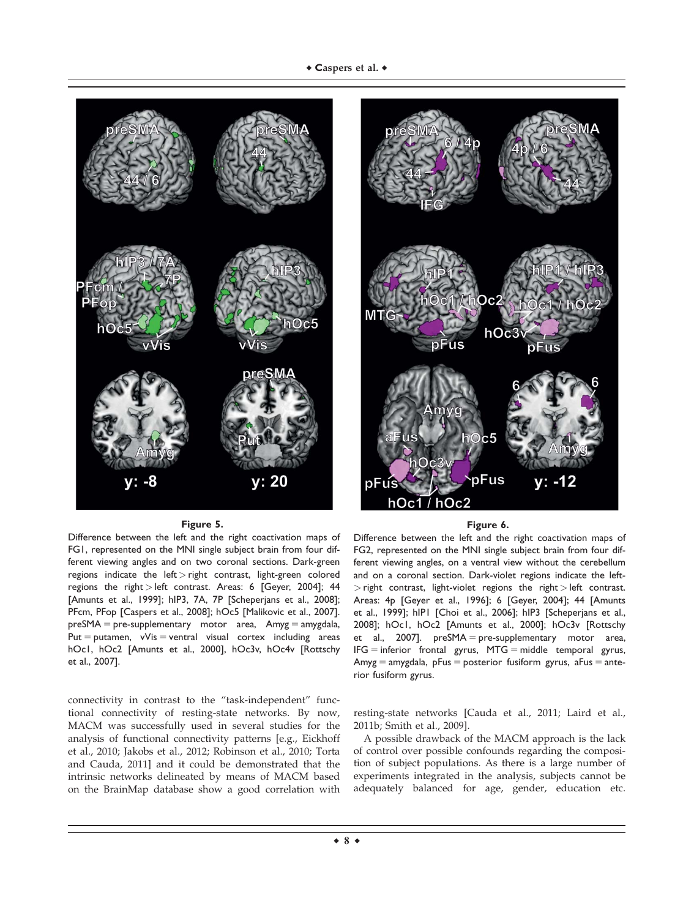# ◆ Caspers et al. ◆



#### **Figure 5.**

Difference between the left and the right coactivation maps of FG1, represented on the MNI single subject brain from four different viewing angles and on two coronal sections. Dark-green regions indicate the left > right contrast, light-green colored regions the right > left contrast. Areas: 6 [Geyer, 2004]; 44 [Amunts et al., 1999]; hIP3, 7A, 7P [Scheperjans et al., 2008]; PFcm, PFop [Caspers et al., 2008]; hOc5 [Malikovic et al., 2007].  $presMA = pre-supplementary motor area, Amyg = amygdala,$ Put  $=$  putamen,  $vVis = ventral$  visual cortex including areas hOc1, hOc2 [Amunts et al., 2000], hOc3v, hOc4v [Rottschy et al., 2007].

connectivity in contrast to the "task-independent" functional connectivity of resting-state networks. By now, MACM was successfully used in several studies for the analysis of functional connectivity patterns [e.g., Eickhoff et al., 2010; Jakobs et al., 2012; Robinson et al., 2010; Torta and Cauda, 2011] and it could be demonstrated that the intrinsic networks delineated by means of MACM based on the BrainMap database show a good correlation with



### **Figure 6.**

Difference between the left and the right coactivation maps of FG2, represented on the MNI single subject brain from four different viewing angles, on a ventral view without the cerebellum and on a coronal section. Dark-violet regions indicate the left-  $>$  right contrast, light-violet regions the right  $>$  left contrast. Areas: 4p [Geyer et al., 1996]; 6 [Geyer, 2004]; 44 [Amunts et al., 1999]; hIP1 [Choi et al., 2006]; hIP3 [Scheperjans et al., 2008]; hOc1, hOc2 [Amunts et al., 2000]; hOc3v [Rottschy et al., 2007].  $preSMA = pre-supplementary motor area$ ,  $IFG = inferior$  frontal gyrus,  $MTG = middle$  temporal gyrus,  $Amyg = anygdala$ , pFus = posterior fusiform gyrus, aFus = anterior fusiform gyrus.

resting-state networks [Cauda et al., 2011; Laird et al., 2011b; Smith et al., 2009].

A possible drawback of the MACM approach is the lack of control over possible confounds regarding the composition of subject populations. As there is a large number of experiments integrated in the analysis, subjects cannot be adequately balanced for age, gender, education etc.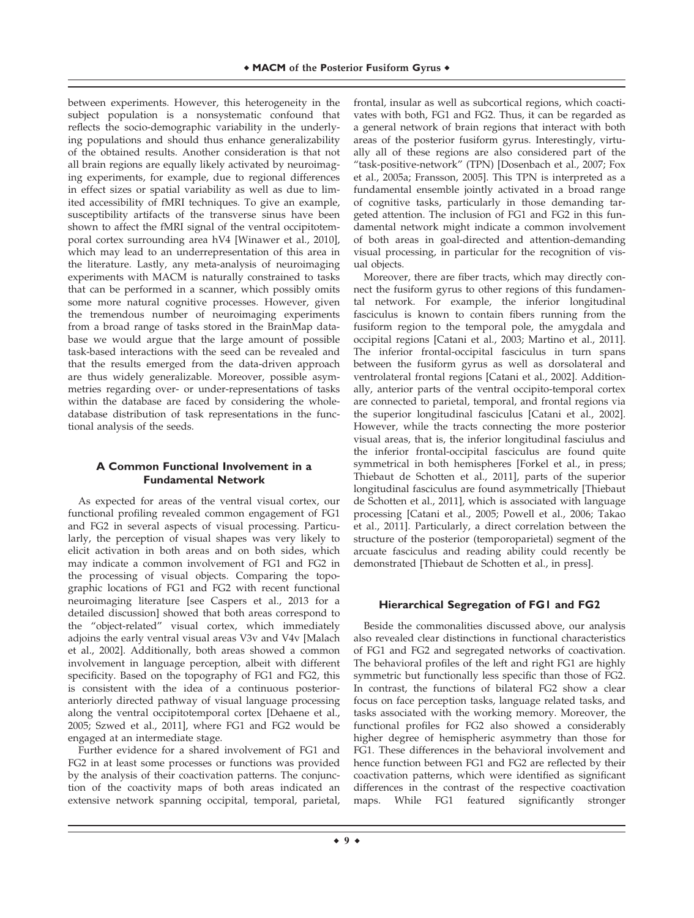between experiments. However, this heterogeneity in the subject population is a nonsystematic confound that reflects the socio-demographic variability in the underlying populations and should thus enhance generalizability of the obtained results. Another consideration is that not all brain regions are equally likely activated by neuroimaging experiments, for example, due to regional differences in effect sizes or spatial variability as well as due to limited accessibility of fMRI techniques. To give an example, susceptibility artifacts of the transverse sinus have been shown to affect the fMRI signal of the ventral occipitotemporal cortex surrounding area hV4 [Winawer et al., 2010], which may lead to an underrepresentation of this area in the literature. Lastly, any meta-analysis of neuroimaging experiments with MACM is naturally constrained to tasks that can be performed in a scanner, which possibly omits some more natural cognitive processes. However, given the tremendous number of neuroimaging experiments from a broad range of tasks stored in the BrainMap database we would argue that the large amount of possible task-based interactions with the seed can be revealed and that the results emerged from the data-driven approach are thus widely generalizable. Moreover, possible asymmetries regarding over- or under-representations of tasks within the database are faced by considering the wholedatabase distribution of task representations in the functional analysis of the seeds.

# **A Common Functional Involvement in a Fundamental Network**

As expected for areas of the ventral visual cortex, our functional profiling revealed common engagement of FG1 and FG2 in several aspects of visual processing. Particularly, the perception of visual shapes was very likely to elicit activation in both areas and on both sides, which may indicate a common involvement of FG1 and FG2 in the processing of visual objects. Comparing the topographic locations of FG1 and FG2 with recent functional neuroimaging literature [see Caspers et al., 2013 for a detailed discussion] showed that both areas correspond to the "object-related" visual cortex, which immediately adjoins the early ventral visual areas V3v and V4v [Malach et al., 2002]. Additionally, both areas showed a common involvement in language perception, albeit with different specificity. Based on the topography of FG1 and FG2, this is consistent with the idea of a continuous posterioranteriorly directed pathway of visual language processing along the ventral occipitotemporal cortex [Dehaene et al., 2005; Szwed et al., 2011], where FG1 and FG2 would be engaged at an intermediate stage.

Further evidence for a shared involvement of FG1 and FG2 in at least some processes or functions was provided by the analysis of their coactivation patterns. The conjunction of the coactivity maps of both areas indicated an extensive network spanning occipital, temporal, parietal, frontal, insular as well as subcortical regions, which coactivates with both, FG1 and FG2. Thus, it can be regarded as a general network of brain regions that interact with both areas of the posterior fusiform gyrus. Interestingly, virtually all of these regions are also considered part of the "task-positive-network" (TPN) [Dosenbach et al., 2007; Fox et al., 2005a; Fransson, 2005]. This TPN is interpreted as a fundamental ensemble jointly activated in a broad range of cognitive tasks, particularly in those demanding targeted attention. The inclusion of FG1 and FG2 in this fundamental network might indicate a common involvement of both areas in goal-directed and attention-demanding visual processing, in particular for the recognition of visual objects.

Moreover, there are fiber tracts, which may directly connect the fusiform gyrus to other regions of this fundamental network. For example, the inferior longitudinal fasciculus is known to contain fibers running from the fusiform region to the temporal pole, the amygdala and occipital regions [Catani et al., 2003; Martino et al., 2011]. The inferior frontal-occipital fasciculus in turn spans between the fusiform gyrus as well as dorsolateral and ventrolateral frontal regions [Catani et al., 2002]. Additionally, anterior parts of the ventral occipito-temporal cortex are connected to parietal, temporal, and frontal regions via the superior longitudinal fasciculus [Catani et al., 2002]. However, while the tracts connecting the more posterior visual areas, that is, the inferior longitudinal fasciulus and the inferior frontal-occipital fasciculus are found quite symmetrical in both hemispheres [Forkel et al., in press; Thiebaut de Schotten et al., 2011], parts of the superior longitudinal fasciculus are found asymmetrically [Thiebaut de Schotten et al., 2011], which is associated with language processing [Catani et al., 2005; Powell et al., 2006; Takao et al., 2011]. Particularly, a direct correlation between the structure of the posterior (temporoparietal) segment of the arcuate fasciculus and reading ability could recently be demonstrated [Thiebaut de Schotten et al., in press].

### **Hierarchical Segregation of FG1 and FG2**

Beside the commonalities discussed above, our analysis also revealed clear distinctions in functional characteristics of FG1 and FG2 and segregated networks of coactivation. The behavioral profiles of the left and right FG1 are highly symmetric but functionally less specific than those of FG2. In contrast, the functions of bilateral FG2 show a clear focus on face perception tasks, language related tasks, and tasks associated with the working memory. Moreover, the functional profiles for FG2 also showed a considerably higher degree of hemispheric asymmetry than those for FG1. These differences in the behavioral involvement and hence function between FG1 and FG2 are reflected by their coactivation patterns, which were identified as significant differences in the contrast of the respective coactivation maps. While FG1 featured significantly stronger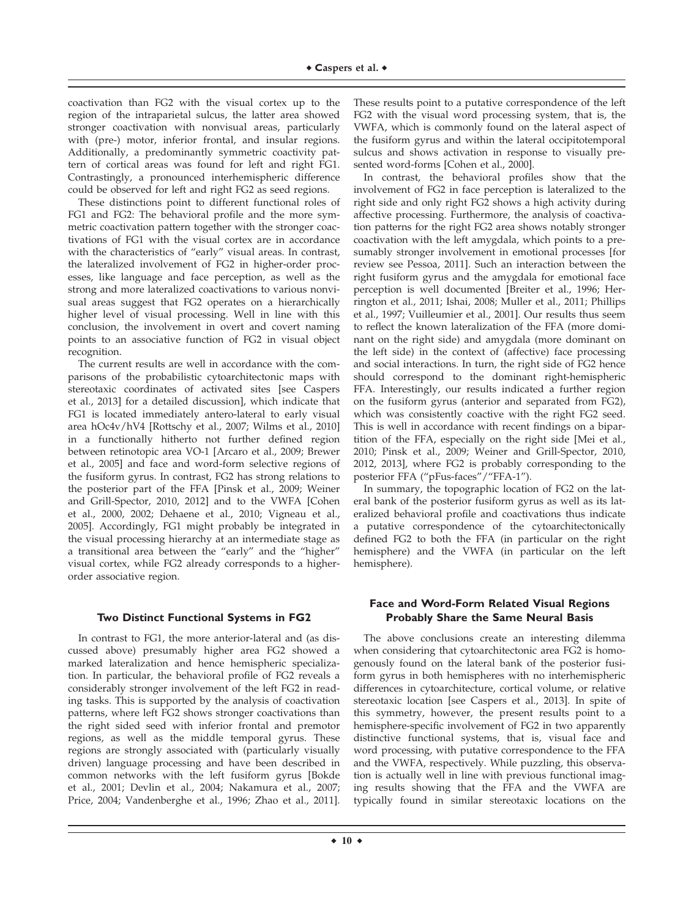coactivation than FG2 with the visual cortex up to the region of the intraparietal sulcus, the latter area showed stronger coactivation with nonvisual areas, particularly with (pre-) motor, inferior frontal, and insular regions. Additionally, a predominantly symmetric coactivity pattern of cortical areas was found for left and right FG1. Contrastingly, a pronounced interhemispheric difference could be observed for left and right FG2 as seed regions.

These distinctions point to different functional roles of FG1 and FG2: The behavioral profile and the more symmetric coactivation pattern together with the stronger coactivations of FG1 with the visual cortex are in accordance with the characteristics of "early" visual areas. In contrast, the lateralized involvement of FG2 in higher-order processes, like language and face perception, as well as the strong and more lateralized coactivations to various nonvisual areas suggest that FG2 operates on a hierarchically higher level of visual processing. Well in line with this conclusion, the involvement in overt and covert naming points to an associative function of FG2 in visual object recognition.

The current results are well in accordance with the comparisons of the probabilistic cytoarchitectonic maps with stereotaxic coordinates of activated sites [see Caspers et al., 2013] for a detailed discussion], which indicate that FG1 is located immediately antero-lateral to early visual area hOc4v/hV4 [Rottschy et al., 2007; Wilms et al., 2010] in a functionally hitherto not further defined region between retinotopic area VO-1 [Arcaro et al., 2009; Brewer et al., 2005] and face and word-form selective regions of the fusiform gyrus. In contrast, FG2 has strong relations to the posterior part of the FFA [Pinsk et al., 2009; Weiner and Grill-Spector, 2010, 2012] and to the VWFA [Cohen et al., 2000, 2002; Dehaene et al., 2010; Vigneau et al., 2005]. Accordingly, FG1 might probably be integrated in the visual processing hierarchy at an intermediate stage as a transitional area between the "early" and the "higher" visual cortex, while FG2 already corresponds to a higherorder associative region.

### **Two Distinct Functional Systems in FG2**

In contrast to FG1, the more anterior-lateral and (as discussed above) presumably higher area FG2 showed a marked lateralization and hence hemispheric specialization. In particular, the behavioral profile of FG2 reveals a considerably stronger involvement of the left FG2 in reading tasks. This is supported by the analysis of coactivation patterns, where left FG2 shows stronger coactivations than the right sided seed with inferior frontal and premotor regions, as well as the middle temporal gyrus. These regions are strongly associated with (particularly visually driven) language processing and have been described in common networks with the left fusiform gyrus [Bokde et al., 2001; Devlin et al., 2004; Nakamura et al., 2007; Price, 2004; Vandenberghe et al., 1996; Zhao et al., 2011].

These results point to a putative correspondence of the left FG2 with the visual word processing system, that is, the VWFA, which is commonly found on the lateral aspect of the fusiform gyrus and within the lateral occipitotemporal sulcus and shows activation in response to visually presented word-forms [Cohen et al., 2000].

In contrast, the behavioral profiles show that the involvement of FG2 in face perception is lateralized to the right side and only right FG2 shows a high activity during affective processing. Furthermore, the analysis of coactivation patterns for the right FG2 area shows notably stronger coactivation with the left amygdala, which points to a presumably stronger involvement in emotional processes [for review see Pessoa, 2011]. Such an interaction between the right fusiform gyrus and the amygdala for emotional face perception is well documented [Breiter et al., 1996; Herrington et al., 2011; Ishai, 2008; Muller et al., 2011; Phillips et al., 1997; Vuilleumier et al., 2001]. Our results thus seem to reflect the known lateralization of the FFA (more dominant on the right side) and amygdala (more dominant on the left side) in the context of (affective) face processing and social interactions. In turn, the right side of FG2 hence should correspond to the dominant right-hemispheric FFA. Interestingly, our results indicated a further region on the fusiform gyrus (anterior and separated from FG2), which was consistently coactive with the right FG2 seed. This is well in accordance with recent findings on a bipartition of the FFA, especially on the right side [Mei et al., 2010; Pinsk et al., 2009; Weiner and Grill-Spector, 2010, 2012, 2013], where FG2 is probably corresponding to the posterior FFA ("pFus-faces"/"FFA-1").

In summary, the topographic location of FG2 on the lateral bank of the posterior fusiform gyrus as well as its lateralized behavioral profile and coactivations thus indicate a putative correspondence of the cytoarchitectonically defined FG2 to both the FFA (in particular on the right hemisphere) and the VWFA (in particular on the left hemisphere).

# **Face and Word-Form Related Visual Regions Probably Share the Same Neural Basis**

The above conclusions create an interesting dilemma when considering that cytoarchitectonic area FG2 is homogenously found on the lateral bank of the posterior fusiform gyrus in both hemispheres with no interhemispheric differences in cytoarchitecture, cortical volume, or relative stereotaxic location [see Caspers et al., 2013]. In spite of this symmetry, however, the present results point to a hemisphere-specific involvement of FG2 in two apparently distinctive functional systems, that is, visual face and word processing, with putative correspondence to the FFA and the VWFA, respectively. While puzzling, this observation is actually well in line with previous functional imaging results showing that the FFA and the VWFA are typically found in similar stereotaxic locations on the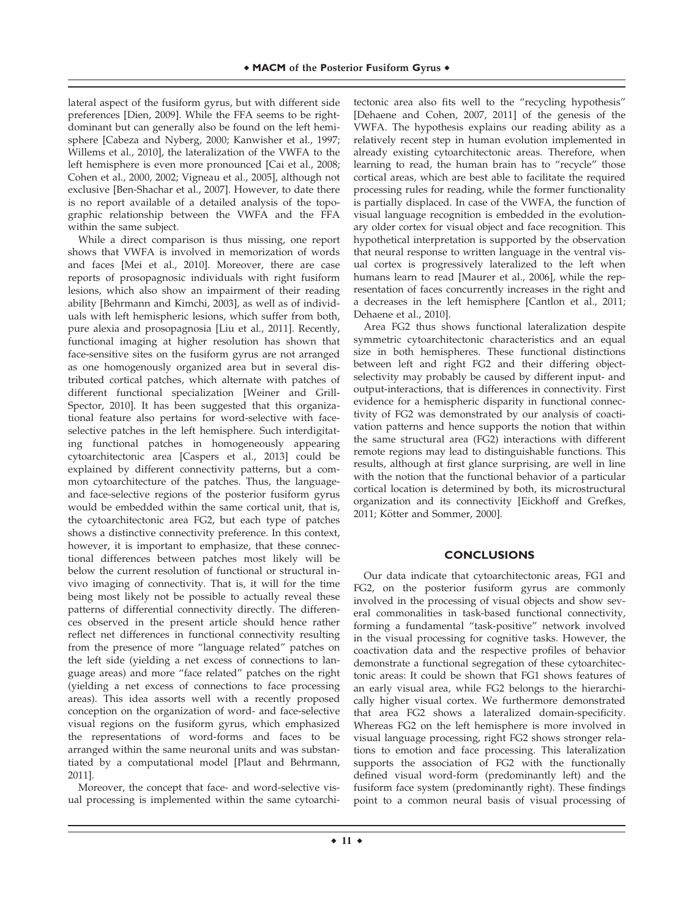lateral aspect of the fusiform gyrus, but with different side preferences [Dien, 2009]. While the FFA seems to be rightdominant but can generally also be found on the left hemisphere [Cabeza and Nyberg, 2000; Kanwisher et al., 1997; Willems et al., 2010], the lateralization of the VWFA to the left hemisphere is even more pronounced [Cai et al., 2008; Cohen et al., 2000, 2002; Vigneau et al., 2005], although not exclusive [Ben-Shachar et al., 2007]. However, to date there is no report available of a detailed analysis of the topographic relationship between the VWFA and the FFA within the same subject.

While a direct comparison is thus missing, one report shows that VWFA is involved in memorization of words and faces [Mei et al., 2010]. Moreover, there are case reports of prosopagnosic individuals with right fusiform lesions, which also show an impairment of their reading ability [Behrmann and Kimchi, 2003], as well as of individuals with left hemispheric lesions, which suffer from both, pure alexia and prosopagnosia [Liu et al., 2011]. Recently, functional imaging at higher resolution has shown that face-sensitive sites on the fusiform gyrus are not arranged as one homogenously organized area but in several distributed cortical patches, which alternate with patches of different functional specialization [Weiner and Grill-Spector, 2010]. It has been suggested that this organizational feature also pertains for word-selective with faceselective patches in the left hemisphere. Such interdigitating functional patches in homogeneously appearing cytoarchitectonic area [Caspers et al., 2013] could be explained by different connectivity patterns, but a common cytoarchitecture of the patches. Thus, the languageand face-selective regions of the posterior fusiform gyrus would be embedded within the same cortical unit, that is, the cytoarchitectonic area FG2, but each type of patches shows a distinctive connectivity preference. In this context, however, it is important to emphasize, that these connectional differences between patches most likely will be below the current resolution of functional or structural invivo imaging of connectivity. That is, it will for the time being most likely not be possible to actually reveal these patterns of differential connectivity directly. The differences observed in the present article should hence rather reflect net differences in functional connectivity resulting from the presence of more "language related" patches on the left side (yielding a net excess of connections to language areas) and more "face related" patches on the right (yielding a net excess of connections to face processing areas). This idea assorts well with a recently proposed conception on the organization of word- and face-selective visual regions on the fusiform gyrus, which emphasized the representations of word-forms and faces to be arranged within the same neuronal units and was substantiated by a computational model [Plaut and Behrmann, 2011].

Moreover, the concept that face- and word-selective visual processing is implemented within the same cytoarchitectonic area also fits well to the "recycling hypothesis" [Dehaene and Cohen, 2007, 2011] of the genesis of the VWFA. The hypothesis explains our reading ability as a relatively recent step in human evolution implemented in already existing cytoarchitectonic areas. Therefore, when learning to read, the human brain has to "recycle" those cortical areas, which are best able to facilitate the required processing rules for reading, while the former functionality is partially displaced. In case of the VWFA, the function of visual language recognition is embedded in the evolutionary older cortex for visual object and face recognition. This hypothetical interpretation is supported by the observation that neural response to written language in the ventral visual cortex is progressively lateralized to the left when humans learn to read [Maurer et al., 2006], while the representation of faces concurrently increases in the right and a decreases in the left hemisphere [Cantlon et al., 2011; Dehaene et al., 2010].

Area FG2 thus shows functional lateralization despite symmetric cytoarchitectonic characteristics and an equal size in both hemispheres. These functional distinctions between left and right FG2 and their differing objectselectivity may probably be caused by different input- and output-interactions, that is differences in connectivity. First evidence for a hemispheric disparity in functional connectivity of FG2 was demonstrated by our analysis of coactivation patterns and hence supports the notion that within the same structural area (FG2) interactions with different remote regions may lead to distinguishable functions. This results, although at first glance surprising, are well in line with the notion that the functional behavior of a particular cortical location is determined by both, its microstructural organization and its connectivity [Eickhoff and Grefkes, 2011; Kötter and Sommer, 2000].

# **CONCLUSIONS**

Our data indicate that cytoarchitectonic areas, FG1 and FG2, on the posterior fusiform gyrus are commonly involved in the processing of visual objects and show several commonalities in task-based functional connectivity, forming a fundamental "task-positive" network involved in the visual processing for cognitive tasks. However, the coactivation data and the respective profiles of behavior demonstrate a functional segregation of these cytoarchitectonic areas: It could be shown that FG1 shows features of an early visual area, while FG2 belongs to the hierarchically higher visual cortex. We furthermore demonstrated that area FG2 shows a lateralized domain-specificity. Whereas FG2 on the left hemisphere is more involved in visual language processing, right FG2 shows stronger relations to emotion and face processing. This lateralization supports the association of FG2 with the functionally defined visual word-form (predominantly left) and the fusiform face system (predominantly right). These findings point to a common neural basis of visual processing of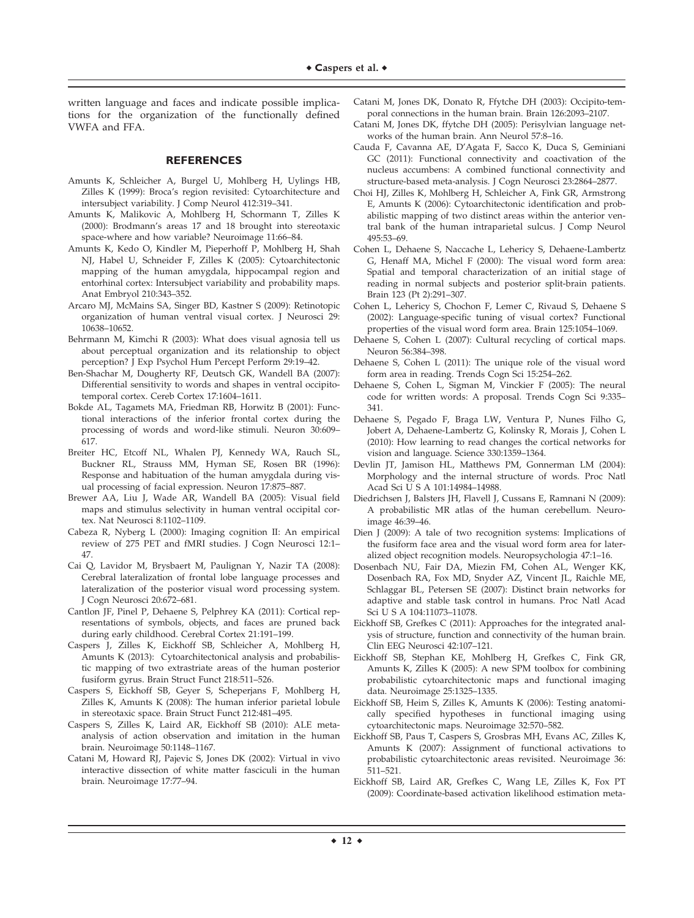written language and faces and indicate possible implications for the organization of the functionally defined VWFA and FFA.

#### **REFERENCES**

- Amunts K, Schleicher A, Burgel U, Mohlberg H, Uylings HB, Zilles K (1999): Broca's region revisited: Cytoarchitecture and intersubject variability. J Comp Neurol 412:319–341.
- Amunts K, Malikovic A, Mohlberg H, Schormann T, Zilles K (2000): Brodmann's areas 17 and 18 brought into stereotaxic space-where and how variable? Neuroimage 11:66–84.
- Amunts K, Kedo O, Kindler M, Pieperhoff P, Mohlberg H, Shah NJ, Habel U, Schneider F, Zilles K (2005): Cytoarchitectonic mapping of the human amygdala, hippocampal region and entorhinal cortex: Intersubject variability and probability maps. Anat Embryol 210:343–352.
- Arcaro MJ, McMains SA, Singer BD, Kastner S (2009): Retinotopic organization of human ventral visual cortex. J Neurosci 29: 10638–10652.
- Behrmann M, Kimchi R (2003): What does visual agnosia tell us about perceptual organization and its relationship to object perception? J Exp Psychol Hum Percept Perform 29:19–42.
- Ben-Shachar M, Dougherty RF, Deutsch GK, Wandell BA (2007): Differential sensitivity to words and shapes in ventral occipitotemporal cortex. Cereb Cortex 17:1604–1611.
- Bokde AL, Tagamets MA, Friedman RB, Horwitz B (2001): Functional interactions of the inferior frontal cortex during the processing of words and word-like stimuli. Neuron 30:609– 617.
- Breiter HC, Etcoff NL, Whalen PJ, Kennedy WA, Rauch SL, Buckner RL, Strauss MM, Hyman SE, Rosen BR (1996): Response and habituation of the human amygdala during visual processing of facial expression. Neuron 17:875–887.
- Brewer AA, Liu J, Wade AR, Wandell BA (2005): Visual field maps and stimulus selectivity in human ventral occipital cortex. Nat Neurosci 8:1102–1109.
- Cabeza R, Nyberg L (2000): Imaging cognition II: An empirical review of 275 PET and fMRI studies. J Cogn Neurosci 12:1– 47.
- Cai Q, Lavidor M, Brysbaert M, Paulignan Y, Nazir TA (2008): Cerebral lateralization of frontal lobe language processes and lateralization of the posterior visual word processing system. J Cogn Neurosci 20:672–681.
- Cantlon JF, Pinel P, Dehaene S, Pelphrey KA (2011): Cortical representations of symbols, objects, and faces are pruned back during early childhood. Cerebral Cortex 21:191–199.
- Caspers J, Zilles K, Eickhoff SB, Schleicher A, Mohlberg H, Amunts K (2013): Cytoarchitectonical analysis and probabilistic mapping of two extrastriate areas of the human posterior fusiform gyrus. Brain Struct Funct 218:511–526.
- Caspers S, Eickhoff SB, Geyer S, Scheperjans F, Mohlberg H, Zilles K, Amunts K (2008): The human inferior parietal lobule in stereotaxic space. Brain Struct Funct 212:481–495.
- Caspers S, Zilles K, Laird AR, Eickhoff SB (2010): ALE metaanalysis of action observation and imitation in the human brain. Neuroimage 50:1148–1167.
- Catani M, Howard RJ, Pajevic S, Jones DK (2002): Virtual in vivo interactive dissection of white matter fasciculi in the human brain. Neuroimage 17:77–94.
- Catani M, Jones DK, Donato R, Ffytche DH (2003): Occipito-temporal connections in the human brain. Brain 126:2093–2107.
- Catani M, Jones DK, ffytche DH (2005): Perisylvian language networks of the human brain. Ann Neurol 57:8–16.
- Cauda F, Cavanna AE, D'Agata F, Sacco K, Duca S, Geminiani GC (2011): Functional connectivity and coactivation of the nucleus accumbens: A combined functional connectivity and structure-based meta-analysis. J Cogn Neurosci 23:2864–2877.
- Choi HJ, Zilles K, Mohlberg H, Schleicher A, Fink GR, Armstrong E, Amunts K (2006): Cytoarchitectonic identification and probabilistic mapping of two distinct areas within the anterior ventral bank of the human intraparietal sulcus. J Comp Neurol 495:53–69.
- Cohen L, Dehaene S, Naccache L, Lehericy S, Dehaene-Lambertz G, Henaff MA, Michel F (2000): The visual word form area: Spatial and temporal characterization of an initial stage of reading in normal subjects and posterior split-brain patients. Brain 123 (Pt 2):291–307.
- Cohen L, Lehericy S, Chochon F, Lemer C, Rivaud S, Dehaene S (2002): Language-specific tuning of visual cortex? Functional properties of the visual word form area. Brain 125:1054–1069.
- Dehaene S, Cohen L (2007): Cultural recycling of cortical maps. Neuron 56:384–398.
- Dehaene S, Cohen L (2011): The unique role of the visual word form area in reading. Trends Cogn Sci 15:254–262.
- Dehaene S, Cohen L, Sigman M, Vinckier F (2005): The neural code for written words: A proposal. Trends Cogn Sci 9:335– 341.
- Dehaene S, Pegado F, Braga LW, Ventura P, Nunes Filho G, Jobert A, Dehaene-Lambertz G, Kolinsky R, Morais J, Cohen L (2010): How learning to read changes the cortical networks for vision and language. Science 330:1359–1364.
- Devlin JT, Jamison HL, Matthews PM, Gonnerman LM (2004): Morphology and the internal structure of words. Proc Natl Acad Sci U S A 101:14984–14988.
- Diedrichsen J, Balsters JH, Flavell J, Cussans E, Ramnani N (2009): A probabilistic MR atlas of the human cerebellum. Neuroimage 46:39–46.
- Dien J (2009): A tale of two recognition systems: Implications of the fusiform face area and the visual word form area for lateralized object recognition models. Neuropsychologia 47:1–16.
- Dosenbach NU, Fair DA, Miezin FM, Cohen AL, Wenger KK, Dosenbach RA, Fox MD, Snyder AZ, Vincent JL, Raichle ME, Schlaggar BL, Petersen SE (2007): Distinct brain networks for adaptive and stable task control in humans. Proc Natl Acad Sci U S A 104:11073–11078.
- Eickhoff SB, Grefkes C (2011): Approaches for the integrated analysis of structure, function and connectivity of the human brain. Clin EEG Neurosci 42:107–121.
- Eickhoff SB, Stephan KE, Mohlberg H, Grefkes C, Fink GR, Amunts K, Zilles K (2005): A new SPM toolbox for combining probabilistic cytoarchitectonic maps and functional imaging data. Neuroimage 25:1325–1335.
- Eickhoff SB, Heim S, Zilles K, Amunts K (2006): Testing anatomically specified hypotheses in functional imaging using cytoarchitectonic maps. Neuroimage 32:570–582.
- Eickhoff SB, Paus T, Caspers S, Grosbras MH, Evans AC, Zilles K, Amunts K (2007): Assignment of functional activations to probabilistic cytoarchitectonic areas revisited. Neuroimage 36: 511–521.
- Eickhoff SB, Laird AR, Grefkes C, Wang LE, Zilles K, Fox PT (2009): Coordinate-based activation likelihood estimation meta-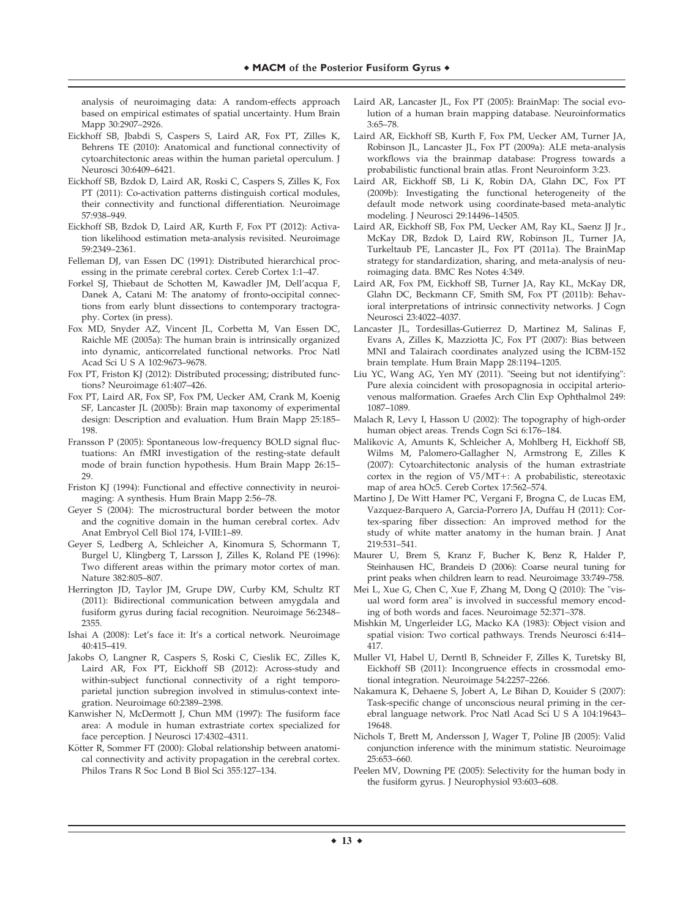analysis of neuroimaging data: A random-effects approach based on empirical estimates of spatial uncertainty. Hum Brain Mapp 30:2907–2926.

- Eickhoff SB, Jbabdi S, Caspers S, Laird AR, Fox PT, Zilles K, Behrens TE (2010): Anatomical and functional connectivity of cytoarchitectonic areas within the human parietal operculum. J Neurosci 30:6409–6421.
- Eickhoff SB, Bzdok D, Laird AR, Roski C, Caspers S, Zilles K, Fox PT (2011): Co-activation patterns distinguish cortical modules, their connectivity and functional differentiation. Neuroimage 57:938–949.
- Eickhoff SB, Bzdok D, Laird AR, Kurth F, Fox PT (2012): Activation likelihood estimation meta-analysis revisited. Neuroimage 59:2349–2361.
- Felleman DJ, van Essen DC (1991): Distributed hierarchical processing in the primate cerebral cortex. Cereb Cortex 1:1–47.
- Forkel SJ, Thiebaut de Schotten M, Kawadler JM, Dell'acqua F, Danek A, Catani M: The anatomy of fronto-occipital connections from early blunt dissections to contemporary tractography. Cortex (in press).
- Fox MD, Snyder AZ, Vincent JL, Corbetta M, Van Essen DC, Raichle ME (2005a): The human brain is intrinsically organized into dynamic, anticorrelated functional networks. Proc Natl Acad Sci U S A 102:9673–9678.
- Fox PT, Friston KJ (2012): Distributed processing; distributed functions? Neuroimage 61:407–426.
- Fox PT, Laird AR, Fox SP, Fox PM, Uecker AM, Crank M, Koenig SF, Lancaster JL (2005b): Brain map taxonomy of experimental design: Description and evaluation. Hum Brain Mapp 25:185– 198.
- Fransson P (2005): Spontaneous low-frequency BOLD signal fluctuations: An fMRI investigation of the resting-state default mode of brain function hypothesis. Hum Brain Mapp 26:15– 29.
- Friston KJ (1994): Functional and effective connectivity in neuroimaging: A synthesis. Hum Brain Mapp 2:56–78.
- Geyer S (2004): The microstructural border between the motor and the cognitive domain in the human cerebral cortex. Adv Anat Embryol Cell Biol 174, I-VIII:1–89.
- Geyer S, Ledberg A, Schleicher A, Kinomura S, Schormann T, Burgel U, Klingberg T, Larsson J, Zilles K, Roland PE (1996): Two different areas within the primary motor cortex of man. Nature 382:805–807.
- Herrington JD, Taylor JM, Grupe DW, Curby KM, Schultz RT (2011): Bidirectional communication between amygdala and fusiform gyrus during facial recognition. Neuroimage 56:2348– 2355.
- Ishai A (2008): Let's face it: It's a cortical network. Neuroimage 40:415–419.
- Jakobs O, Langner R, Caspers S, Roski C, Cieslik EC, Zilles K, Laird AR, Fox PT, Eickhoff SB (2012): Across-study and within-subject functional connectivity of a right temporoparietal junction subregion involved in stimulus-context integration. Neuroimage 60:2389–2398.
- Kanwisher N, McDermott J, Chun MM (1997): The fusiform face area: A module in human extrastriate cortex specialized for face perception. J Neurosci 17:4302–4311.
- Kötter R, Sommer FT (2000): Global relationship between anatomical connectivity and activity propagation in the cerebral cortex. Philos Trans R Soc Lond B Biol Sci 355:127–134.
- Laird AR, Lancaster JL, Fox PT (2005): BrainMap: The social evolution of a human brain mapping database. Neuroinformatics 3:65–78.
- Laird AR, Eickhoff SB, Kurth F, Fox PM, Uecker AM, Turner JA, Robinson JL, Lancaster JL, Fox PT (2009a): ALE meta-analysis workflows via the brainmap database: Progress towards a probabilistic functional brain atlas. Front Neuroinform 3:23.
- Laird AR, Eickhoff SB, Li K, Robin DA, Glahn DC, Fox PT (2009b): Investigating the functional heterogeneity of the default mode network using coordinate-based meta-analytic modeling. J Neurosci 29:14496–14505.
- Laird AR, Eickhoff SB, Fox PM, Uecker AM, Ray KL, Saenz JJ Jr., McKay DR, Bzdok D, Laird RW, Robinson JL, Turner JA, Turkeltaub PE, Lancaster JL, Fox PT (2011a). The BrainMap strategy for standardization, sharing, and meta-analysis of neuroimaging data. BMC Res Notes 4:349.
- Laird AR, Fox PM, Eickhoff SB, Turner JA, Ray KL, McKay DR, Glahn DC, Beckmann CF, Smith SM, Fox PT (2011b): Behavioral interpretations of intrinsic connectivity networks. J Cogn Neurosci 23:4022–4037.
- Lancaster JL, Tordesillas-Gutierrez D, Martinez M, Salinas F, Evans A, Zilles K, Mazziotta JC, Fox PT (2007): Bias between MNI and Talairach coordinates analyzed using the ICBM-152 brain template. Hum Brain Mapp 28:1194–1205.
- Liu YC, Wang AG, Yen MY (2011). "Seeing but not identifying": Pure alexia coincident with prosopagnosia in occipital arteriovenous malformation. Graefes Arch Clin Exp Ophthalmol 249: 1087–1089.
- Malach R, Levy I, Hasson U (2002): The topography of high-order human object areas. Trends Cogn Sci 6:176–184.
- Malikovic A, Amunts K, Schleicher A, Mohlberg H, Eickhoff SB, Wilms M, Palomero-Gallagher N, Armstrong E, Zilles K (2007): Cytoarchitectonic analysis of the human extrastriate cortex in the region of  $V5/MT+$ : A probabilistic, stereotaxic map of area hOc5. Cereb Cortex 17:562–574.
- Martino J, De Witt Hamer PC, Vergani F, Brogna C, de Lucas EM, Vazquez-Barquero A, Garcia-Porrero JA, Duffau H (2011): Cortex-sparing fiber dissection: An improved method for the study of white matter anatomy in the human brain. J Anat 219:531–541.
- Maurer U, Brem S, Kranz F, Bucher K, Benz R, Halder P, Steinhausen HC, Brandeis D (2006): Coarse neural tuning for print peaks when children learn to read. Neuroimage 33:749–758.
- Mei L, Xue G, Chen C, Xue F, Zhang M, Dong Q (2010): The "visual word form area" is involved in successful memory encoding of both words and faces. Neuroimage 52:371–378.
- Mishkin M, Ungerleider LG, Macko KA (1983): Object vision and spatial vision: Two cortical pathways. Trends Neurosci 6:414– 417.
- Muller VI, Habel U, Derntl B, Schneider F, Zilles K, Turetsky BI, Eickhoff SB (2011): Incongruence effects in crossmodal emotional integration. Neuroimage 54:2257–2266.
- Nakamura K, Dehaene S, Jobert A, Le Bihan D, Kouider S (2007): Task-specific change of unconscious neural priming in the cerebral language network. Proc Natl Acad Sci U S A 104:19643– 19648.
- Nichols T, Brett M, Andersson J, Wager T, Poline JB (2005): Valid conjunction inference with the minimum statistic. Neuroimage 25:653–660.
- Peelen MV, Downing PE (2005): Selectivity for the human body in the fusiform gyrus. J Neurophysiol 93:603–608.